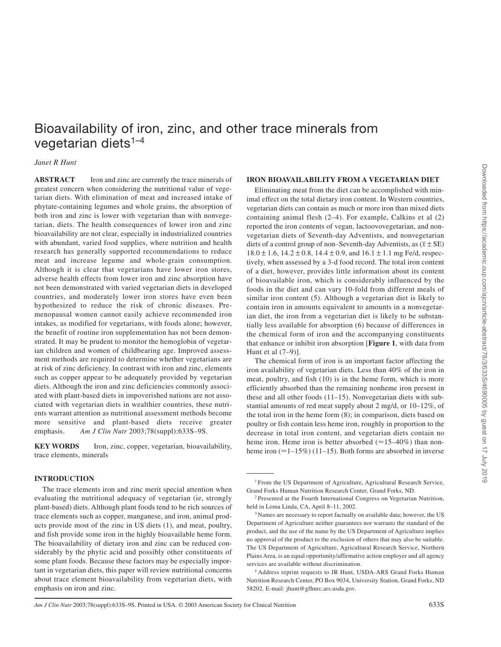# Bioavailability of iron, zinc, and other trace minerals from vegetarian diets<sup>1-4</sup>

*Janet R Hunt*

**ABSTRACT** Iron and zinc are currently the trace minerals of greatest concern when considering the nutritional value of vegetarian diets. With elimination of meat and increased intake of phytate-containing legumes and whole grains, the absorption of both iron and zinc is lower with vegetarian than with nonvegetarian, diets. The health consequences of lower iron and zinc bioavailability are not clear, especially in industrialized countries with abundant, varied food supplies, where nutrition and health research has generally supported recommendations to reduce meat and increase legume and whole-grain consumption. Although it is clear that vegetarians have lower iron stores, adverse health effects from lower iron and zinc absorption have not been demonstrated with varied vegetarian diets in developed countries, and moderately lower iron stores have even been hypothesized to reduce the risk of chronic diseases. Premenopausal women cannot easily achieve recommended iron intakes, as modified for vegetarians, with foods alone; however, the benefit of routine iron supplementation has not been demonstrated. It may be prudent to monitor the hemoglobin of vegetarian children and women of childbearing age. Improved assessment methods are required to determine whether vegetarians are at risk of zinc deficiency. In contrast with iron and zinc, elements such as copper appear to be adequately provided by vegetarian diets. Although the iron and zinc deficiencies commonly associated with plant-based diets in impoverished nations are not associated with vegetarian diets in wealthier countries, these nutrients warrant attention as nutritional assessment methods become more sensitive and plant-based diets receive greater emphasis. *Am J Clin Nutr* 2003;78(suppl):633S–9S.

**KEY WORDS** Iron, zinc, copper, vegetarian, bioavailability, trace elements, minerals

# **INTRODUCTION**

The trace elements iron and zinc merit special attention when evaluating the nutritional adequacy of vegetarian (ie, strongly plant-based) diets. Although plant foods tend to be rich sources of trace elements such as copper, manganese, and iron, animal products provide most of the zinc in US diets (1), and meat, poultry, and fish provide some iron in the highly bioavailable heme form. The bioavailability of dietary iron and zinc can be reduced considerably by the phytic acid and possibly other constituents of some plant foods. Because these factors may be especially important in vegetarian diets, this paper will review nutritional concerns about trace element bioavailability from vegetarian diets, with emphasis on iron and zinc.

## **IRON BIOAVAILABILITY FROM A VEGETARIAN DIET**

Eliminating meat from the diet can be accomplished with minimal effect on the total dietary iron content. In Western countries, vegetarian diets can contain as much or more iron than mixed diets containing animal flesh (2–4). For example, Calkins et al (2) reported the iron contents of vegan, lactoovovegetarian, and nonvegetarian diets of Seventh-day Adventists, and nonvegetarian diets of a control group of non–Seventh-day Adventists, as  $(\overline{x} \pm \text{SE})$  $18.0 \pm 1.6$ ,  $14.2 \pm 0.8$ ,  $14.4 \pm 0.9$ , and  $16.1 \pm 1.1$  mg Fe/d, respectively, when assessed by a 3-d food record. The total iron content of a diet, however, provides little information about its content of bioavailable iron, which is considerably influenced by the foods in the diet and can vary 10-fold from different meals of similar iron content (5). Although a vegetarian diet is likely to contain iron in amounts equivalent to amounts in a nonvegetarian diet, the iron from a vegetarian diet is likely to be substantially less available for absorption (6) because of differences in the chemical form of iron and the accompanying constituents that enhance or inhibit iron absorption [**Figure 1**, with data from Hunt et al (7–9)].

The chemical form of iron is an important factor affecting the iron availability of vegetarian diets. Less than 40% of the iron in meat, poultry, and fish (10) is in the heme form, which is more efficiently absorbed than the remaining nonheme iron present in these and all other foods (11–15). Nonvegetarian diets with substantial amounts of red meat supply about 2 mg/d, or 10–12%, of the total iron in the heme form (8); in comparison, diets based on poultry or fish contain less heme iron, roughly in proportion to the decrease in total iron content, and vegetarian diets contain no heme iron. Heme iron is better absorbed  $(\approx 15-40\%)$  than nonheme iron  $(\approx 1 - 15\%)$  (11–15). Both forms are absorbed in inverse

<sup>&</sup>lt;sup>1</sup> From the US Department of Agriculture, Agricultural Research Service, Grand Forks Human Nutrition Research Center, Grand Forks, ND.

<sup>2</sup> Presented at the Fourth International Congress on Vegetarian Nutrition, held in Loma Linda, CA, April 8–11, 2002.

<sup>&</sup>lt;sup>3</sup> Names are necessary to report factually on available data; however, the US Department of Agriculture neither guarantees nor warrants the standard of the product, and the use of the name by the US Department of Agriculture implies no approval of the product to the exclusion of others that may also be suitable. The US Department of Agriculture, Agricultural Research Service, Northern Plains Area, is an equal opportunity/affirmative action employer and all agency services are available without discrimination.

<sup>4</sup> Address reprint requests to JR Hunt, USDA-ARS Grand Forks Human Nutrition Research Center, PO Box 9034, University Station, Grand Forks, ND 58202. E-mail: jhunt@gfhnrc.ars.usda.gov.

*Am J Clin Nutr* 2003;78(suppl):633S–9S. Printed in USA. © 2003 American Society for Clinical Nutrition 633S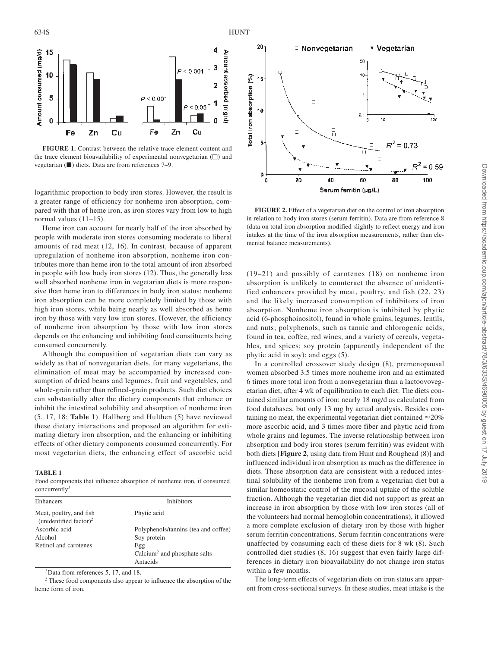

**FIGURE 1.** Contrast between the relative trace element content and the trace element bioavailability of experimental nonvegetarian  $(\square)$  and vegetarian  $(\blacksquare)$  diets. Data are from references 7–9.

logarithmic proportion to body iron stores. However, the result is a greater range of efficiency for nonheme iron absorption, compared with that of heme iron, as iron stores vary from low to high normal values (11–15).

Heme iron can account for nearly half of the iron absorbed by people with moderate iron stores consuming moderate to liberal amounts of red meat (12, 16). In contrast, because of apparent upregulation of nonheme iron absorption, nonheme iron contributes more than heme iron to the total amount of iron absorbed in people with low body iron stores (12). Thus, the generally less well absorbed nonheme iron in vegetarian diets is more responsive than heme iron to differences in body iron status: nonheme iron absorption can be more completely limited by those with high iron stores, while being nearly as well absorbed as heme iron by those with very low iron stores. However, the efficiency of nonheme iron absorption by those with low iron stores depends on the enhancing and inhibiting food constituents being consumed concurrently.

Although the composition of vegetarian diets can vary as widely as that of nonvegetarian diets, for many vegetarians, the elimination of meat may be accompanied by increased consumption of dried beans and legumes, fruit and vegetables, and whole-grain rather than refined-grain products. Such diet choices can substantially alter the dietary components that enhance or inhibit the intestinal solubility and absorption of nonheme iron (5, 17, 18; **Table 1**). Hallberg and Hulthen (5) have reviewed these dietary interactions and proposed an algorithm for estimating dietary iron absorption, and the enhancing or inhibiting effects of other dietary components consumed concurrently. For most vegetarian diets, the enhancing effect of ascorbic acid

#### **TABLE 1**

Food components that influence absorption of nonheme iron, if consumed concurrently*<sup>1</sup>*

| Enhancers                                                     | <b>Inhibitors</b>                                           |  |
|---------------------------------------------------------------|-------------------------------------------------------------|--|
| Meat, poultry, and fish<br>(unidentified factor) <sup>2</sup> | Phytic acid                                                 |  |
| Ascorbic acid<br>Alcohol                                      | Polyphenols/tannins (tea and coffee)<br>Soy protein         |  |
| Retinol and carotenes                                         | Egg<br>Calcium <sup>2</sup> and phosphate salts<br>Antacids |  |

*<sup>1</sup>*Data from references 5, 17, and 18.

*<sup>2</sup>* These food components also appear to influence the absorption of the heme form of iron.



**FIGURE 2.** Effect of a vegetarian diet on the control of iron absorption in relation to body iron stores (serum ferritin). Data are from reference 8 (data on total iron absorption modified slightly to reflect energy and iron intakes at the time of the iron absorption measurements, rather than elemental balance measurements).

(19–21) and possibly of carotenes (18) on nonheme iron absorption is unlikely to counteract the absence of unidentified enhancers provided by meat, poultry, and fish (22, 23) and the likely increased consumption of inhibitors of iron absorption. Nonheme iron absorption is inhibited by phytic acid (6-phosphoinositol), found in whole grains, legumes, lentils, and nuts; polyphenols, such as tannic and chlorogenic acids, found in tea, coffee, red wines, and a variety of cereals, vegetables, and spices; soy protein (apparently independent of the phytic acid in soy); and eggs (5).

In a controlled crossover study design (8), premenopausal women absorbed 3.5 times more nonheme iron and an estimated 6 times more total iron from a nonvegetarian than a lactoovovegetarian diet, after 4 wk of equilibration to each diet. The diets contained similar amounts of iron: nearly 18 mg/d as calculated from food databases, but only 13 mg by actual analysis. Besides containing no meat, the experimental vegetarian diet contained  $\approx$  20% more ascorbic acid, and 3 times more fiber and phytic acid from whole grains and legumes. The inverse relationship between iron absorption and body iron stores (serum ferritin) was evident with both diets [**Figure 2**, using data from Hunt and Roughead (8)] and influenced individual iron absorption as much as the difference in diets. These absorption data are consistent with a reduced intestinal solubility of the nonheme iron from a vegetarian diet but a similar homeostatic control of the mucosal uptake of the soluble fraction. Although the vegetarian diet did not support as great an increase in iron absorption by those with low iron stores (all of the volunteers had normal hemoglobin concentrations), it allowed a more complete exclusion of dietary iron by those with higher serum ferritin concentrations. Serum ferritin concentrations were unaffected by consuming each of these diets for 8 wk (8). Such controlled diet studies (8, 16) suggest that even fairly large differences in dietary iron bioavailability do not change iron status within a few months.

The long-term effects of vegetarian diets on iron status are apparent from cross-sectional surveys. In these studies, meat intake is the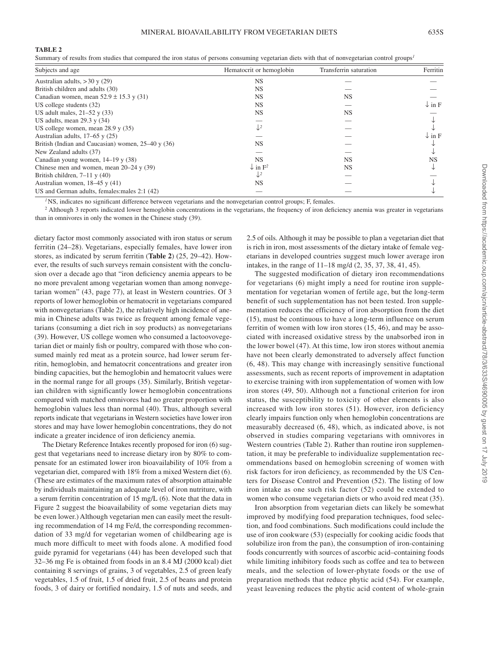**TABLE 2**

Summary of results from studies that compared the iron status of persons consuming vegetarian diets with that of nonvegetarian control groups*<sup>1</sup>*

| Subjects and age                                   | Hematocrit or hemoglobin  | Transferrin saturation | Ferritin          |
|----------------------------------------------------|---------------------------|------------------------|-------------------|
| Australian adults, $>$ 30 y (29)                   | <b>NS</b>                 |                        |                   |
| British children and adults (30)                   | NS.                       |                        |                   |
| Canadian women, mean $52.9 \pm 15.3$ y (31)        | NS.                       | NS                     |                   |
| US college students $(32)$                         | <b>NS</b>                 |                        | $\downarrow$ in F |
| US adult males, $21-52$ y (33)                     | <b>NS</b>                 | <b>NS</b>              |                   |
| US adults, mean $29.3$ y $(34)$                    |                           |                        |                   |
| US college women, mean $28.9$ y $(35)$             | $\downarrow$ <sup>2</sup> |                        |                   |
| Australian adults, $17-65$ y $(25)$                |                           |                        | $\downarrow$ in F |
| British (Indian and Caucasian) women, 25–40 y (36) | <b>NS</b>                 |                        |                   |
| New Zealand adults (37)                            |                           |                        |                   |
| Canadian young women, $14-19$ y (38)               | <b>NS</b>                 | NS                     | NS                |
| Chinese men and women, mean $20-24$ y (39)         | $\downarrow$ in $F^2$     | <b>NS</b>              |                   |
| British children, $7-11$ y (40)                    | $\downarrow^2$            |                        |                   |
| Australian women, $18-45$ y (41)                   | <b>NS</b>                 |                        |                   |
| US and German adults, females: males 2:1 (42)      |                           |                        |                   |

<sup>1</sup>NS, indicates no significant difference between vegetarians and the nonvegetarian control groups; F, females.

<sup>2</sup> Although 3 reports indicated lower hemoglobin concentrations in the vegetarians, the frequency of iron deficiency anemia was greater in vegetarians than in omnivores in only the women in the Chinese study (39).

dietary factor most commonly associated with iron status or serum ferritin (24–28). Vegetarians, especially females, have lower iron stores, as indicated by serum ferritin (**Table 2**) (25, 29–42). However, the results of such surveys remain consistent with the conclusion over a decade ago that "iron deficiency anemia appears to be no more prevalent among vegetarian women than among nonvegetarian women" (43, page 77), at least in Western countries. Of 3 reports of lower hemoglobin or hematocrit in vegetarians compared with nonvegetarians (Table 2), the relatively high incidence of anemia in Chinese adults was twice as frequent among female vegetarians (consuming a diet rich in soy products) as nonvegetarians (39). However, US college women who consumed a lactoovovegetarian diet or mainly fish or poultry, compared with those who consumed mainly red meat as a protein source, had lower serum ferritin, hemoglobin, and hematocrit concentrations and greater iron binding capacities, but the hemoglobin and hematocrit values were in the normal range for all groups (35). Similarly, British vegetarian children with significantly lower hemoglobin concentrations compared with matched omnivores had no greater proportion with hemoglobin values less than normal (40). Thus, although several reports indicate that vegetarians in Western societies have lower iron stores and may have lower hemoglobin concentrations, they do not indicate a greater incidence of iron deficiency anemia.

The Dietary Reference Intakes recently proposed for iron (6) suggest that vegetarians need to increase dietary iron by 80% to compensate for an estimated lower iron bioavailability of 10% from a vegetarian diet, compared with 18% from a mixed Western diet (6). (These are estimates of the maximum rates of absorption attainable by individuals maintaining an adequate level of iron nutriture, with a serum ferritin concentration of 15 mg/L (6). Note that the data in Figure 2 suggest the bioavailability of some vegetarian diets may be even lower.) Although vegetarian men can easily meet the resulting recommendation of 14 mg Fe/d, the corresponding recommendation of 33 mg/d for vegetarian women of childbearing age is much more difficult to meet with foods alone. A modified food guide pyramid for vegetarians (44) has been developed such that 32–36 mg Fe is obtained from foods in an 8.4 MJ (2000 kcal) diet containing 8 servings of grains, 3 of vegetables, 2.5 of green leafy vegetables, 1.5 of fruit, 1.5 of dried fruit, 2.5 of beans and protein foods, 3 of dairy or fortified nondairy, 1.5 of nuts and seeds, and

2.5 of oils. Although it may be possible to plan a vegetarian diet that is rich in iron, most assessments of the dietary intake of female vegetarians in developed countries suggest much lower average iron intakes, in the range of 11–18 mg/d (2, 35, 37, 38, 41, 45).

The suggested modification of dietary iron recommendations for vegetarians (6) might imply a need for routine iron supplementation for vegetarian women of fertile age, but the long-term benefit of such supplementation has not been tested. Iron supplementation reduces the efficiency of iron absorption from the diet (15), must be continuous to have a long-term influence on serum ferritin of women with low iron stores (15, 46), and may be associated with increased oxidative stress by the unabsorbed iron in the lower bowel (47). At this time, low iron stores without anemia have not been clearly demonstrated to adversely affect function (6, 48). This may change with increasingly sensitive functional assessments, such as recent reports of improvement in adaptation to exercise training with iron supplementation of women with low iron stores (49, 50). Although not a functional criterion for iron status, the susceptibility to toxicity of other elements is also increased with low iron stores (51). However, iron deficiency clearly impairs function only when hemoglobin concentrations are measurably decreased (6, 48), which, as indicated above, is not observed in studies comparing vegetarians with omnivores in Western countries (Table 2). Rather than routine iron supplementation, it may be preferable to individualize supplementation recommendations based on hemoglobin screening of women with risk factors for iron deficiency, as recommended by the US Centers for Disease Control and Prevention (52). The listing of low iron intake as one such risk factor (52) could be extended to women who consume vegetarian diets or who avoid red meat (35).

Iron absorption from vegetarian diets can likely be somewhat improved by modifying food preparation techniques, food selection, and food combinations. Such modifications could include the use of iron cookware (53) (especially for cooking acidic foods that solubilize iron from the pan), the consumption of iron-containing foods concurrently with sources of ascorbic acid–containing foods while limiting inhibitory foods such as coffee and tea to between meals, and the selection of lower-phytate foods or the use of preparation methods that reduce phytic acid (54). For example, yeast leavening reduces the phytic acid content of whole-grain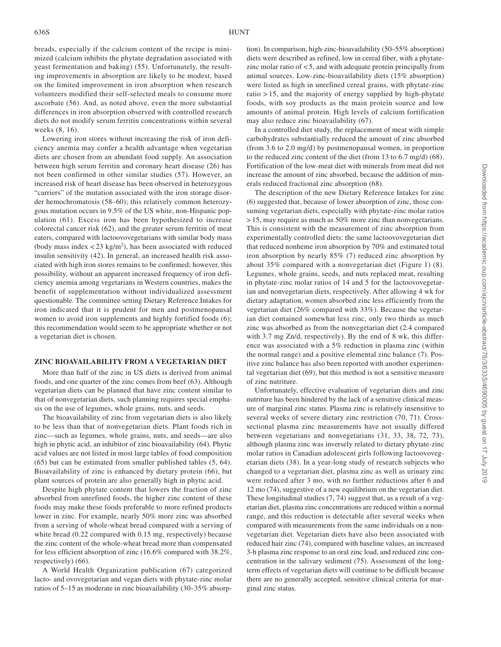breads, especially if the calcium content of the recipe is minimized (calcium inhibits the phytate degradation associated with yeast fermentation and baking) (55). Unfortunately, the resulting improvements in absorption are likely to be modest, based on the limited improvement in iron absorption when research volunteers modified their self-selected meals to consume more ascorbate (56). And, as noted above, even the more substantial differences in iron absorption observed with controlled research diets do not modify serum ferritin concentrations within several weeks (8, 16).

Lowering iron stores without increasing the risk of iron deficiency anemia may confer a health advantage when vegetarian diets are chosen from an abundant food supply. An association between high serum ferritin and coronary heart disease (26) has not been confirmed in other similar studies (57). However, an increased risk of heart disease has been observed in heterozygous "carriers" of the mutation associated with the iron storage disorder hemochromatosis (58–60); this relatively common heterozygous mutation occurs in 9.5% of the US white, non-Hispanic population (61). Excess iron has been hypothesized to increase colorectal cancer risk (62), and the greater serum ferritin of meat eaters, compared with lactoovovegetarians with similar body mass (body mass index  $\langle 23 \text{ kg/m}^2 \rangle$ , has been associated with reduced insulin sensitivity (42). In general, an increased health risk associated with high iron stores remains to be confirmed; however, this possibility, without an apparent increased frequency of iron deficiency anemia among vegetarians in Western countries, makes the benefit of supplementation without individualized assessment questionable. The committee setting Dietary Reference Intakes for iron indicated that it is prudent for men and postmenopausal women to avoid iron supplements and highly fortified foods (6); this recommendation would seem to be appropriate whether or not a vegetarian diet is chosen.

## **ZINC BIOAVAILABILITY FROM A VEGETARIAN DIET**

More than half of the zinc in US diets is derived from animal foods, and one quarter of the zinc comes from beef (63). Although vegetarian diets can be planned that have zinc content similar to that of nonvegetarian diets, such planning requires special emphasis on the use of legumes, whole grains, nuts, and seeds.

The bioavailability of zinc from vegetarian diets is also likely to be less than that of nonvegetarian diets. Plant foods rich in zinc—such as legumes, whole grains, nuts, and seeds—are also high in phytic acid, an inhibitor of zinc bioavailability (64). Phytic acid values are not listed in most large tables of food composition (65) but can be estimated from smaller published tables (5, 64). Bioavailability of zinc is enhanced by dietary protein (66), but plant sources of protein are also generally high in phytic acid.

Despite high phytate content that lowers the fraction of zinc absorbed from unrefined foods, the higher zinc content of these foods may make these foods preferable to more refined products lower in zinc. For example, nearly 50% more zinc was absorbed from a serving of whole-wheat bread compared with a serving of white bread (0.22 compared with 0.15 mg, respectively) because the zinc content of the whole-wheat bread more than compensated for less efficient absorption of zinc (16.6% compared with 38.2%, respectively) (66).

A World Health Organization publication (67) categorized lacto- and ovovegetarian and vegan diets with phytate-zinc molar ratios of 5–15 as moderate in zinc bioavailability (30–35% absorp-

tion). In comparison, high-zinc-bioavailability (50–55% absorption) diets were described as refined, low in cereal fiber, with a phytatezinc molar ratio of < 5, and with adequate protein principally from animal sources. Low-zinc-bioavailability diets (15% absorption) were listed as high in unrefined cereal grains, with phytate-zinc ratio > 15, and the majority of energy supplied by high-phytate foods, with soy products as the main protein source and low amounts of animal protein. High levels of calcium fortification may also reduce zinc bioavailability (67).

In a controlled diet study, the replacement of meat with simple carbohydrates substantially reduced the amount of zinc absorbed (from 3.6 to 2.0 mg/d) by postmenopausal women, in proportion to the reduced zinc content of the diet (from 13 to 6.7 mg/d) (68). Fortification of the low-meat diet with minerals from meat did not increase the amount of zinc absorbed, because the addition of minerals reduced fractional zinc absorption (68).

The description of the new Dietary Reference Intakes for zinc (6) suggested that, because of lower absorption of zinc, those consuming vegetarian diets, especially with phytate-zinc molar ratios > 15, may require as much as 50% more zinc than nonvegetarians. This is consistent with the measurement of zinc absorption from experimentally controlled diets: the same lactoovovegetarian diet that reduced nonheme iron absorption by 70% and estimated total iron absorption by nearly 85% (7) reduced zinc absorption by about 35% compared with a nonvegetarian diet (Figure 1) (8). Legumes, whole grains, seeds, and nuts replaced meat, resulting in phytate-zinc molar ratios of 14 and 5 for the lactoovovegetarian and nonvegetarian diets, respectively. After allowing 4 wk for dietary adaptation, women absorbed zinc less efficiently from the vegetarian diet (26% compared with 33%). Because the vegetarian diet contained somewhat less zinc, only two thirds as much zinc was absorbed as from the nonvegetarian diet (2.4 compared with 3.7 mg Zn/d, respectively). By the end of 8 wk, this difference was associated with a 5% reduction in plasma zinc (within the normal range) and a positive elemental zinc balance (7). Positive zinc balance has also been reported with another experimental vegetarian diet (69), but this method is not a sensitive measure of zinc nutriture.

Unfortunately, effective evaluation of vegetarian diets and zinc nutriture has been hindered by the lack of a sensitive clinical measure of marginal zinc status. Plasma zinc is relatively insensitive to several weeks of severe dietary zinc restriction (70, 71). Crosssectional plasma zinc measurements have not usually differed between vegetarians and nonvegetarians (31, 33, 38, 72, 73), although plasma zinc was inversely related to dietary phytate-zinc molar ratios in Canadian adolescent girls following lactoovovegetarian diets (38). In a year-long study of research subjects who changed to a vegetarian diet, plasma zinc as well as urinary zinc were reduced after 3 mo, with no further reductions after 6 and 12 mo (74), suggestive of a new equilibrium on the vegetarian diet. These longitudinal studies (7, 74) suggest that, as a result of a vegetarian diet, plasma zinc concentrations are reduced within a normal range, and this reduction is detectable after several weeks when compared with measurements from the same individuals on a nonvegetarian diet. Vegetarian diets have also been associated with reduced hair zinc (74), compared with baseline values, an increased 3-h plasma zinc response to an oral zinc load, and reduced zinc concentration in the salivary sediment (75). Assessment of the longterm effects of vegetarian diets will continue to be difficult because there are no generally accepted, sensitive clinical criteria for marginal zinc status.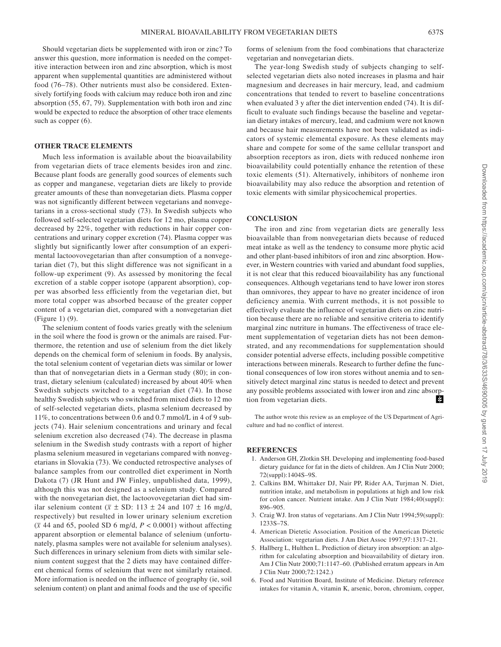Should vegetarian diets be supplemented with iron or zinc? To answer this question, more information is needed on the competitive interaction between iron and zinc absorption, which is most apparent when supplemental quantities are administered without food (76–78). Other nutrients must also be considered. Extensively fortifying foods with calcium may reduce both iron and zinc absorption (55, 67, 79). Supplementation with both iron and zinc would be expected to reduce the absorption of other trace elements such as copper  $(6)$ .

#### **OTHER TRACE ELEMENTS**

Much less information is available about the bioavailability from vegetarian diets of trace elements besides iron and zinc. Because plant foods are generally good sources of elements such as copper and manganese, vegetarian diets are likely to provide greater amounts of these than nonvegetarian diets. Plasma copper was not significantly different between vegetarians and nonvegetarians in a cross-sectional study (73). In Swedish subjects who followed self-selected vegetarian diets for 12 mo, plasma copper decreased by 22%, together with reductions in hair copper concentrations and urinary copper excretion (74). Plasma copper was slightly but significantly lower after consumption of an experimental lactoovovegetarian than after consumption of a nonvegetarian diet (7), but this slight difference was not significant in a follow-up experiment (9). As assessed by monitoring the fecal excretion of a stable copper isotope (apparent absorption), copper was absorbed less efficiently from the vegetarian diet, but more total copper was absorbed because of the greater copper content of a vegetarian diet, compared with a nonvegetarian diet (Figure 1) (9).

The selenium content of foods varies greatly with the selenium in the soil where the food is grown or the animals are raised. Furthermore, the retention and use of selenium from the diet likely depends on the chemical form of selenium in foods. By analysis, the total selenium content of vegetarian diets was similar or lower than that of nonvegetarian diets in a German study (80); in contrast, dietary selenium (calculated) increased by about 40% when Swedish subjects switched to a vegetarian diet (74). In those healthy Swedish subjects who switched from mixed diets to 12 mo of self-selected vegetarian diets, plasma selenium decreased by 11%, to concentrations between 0.6 and 0.7 mmol/L in 4 of 9 subjects (74). Hair selenium concentrations and urinary and fecal selenium excretion also decreased (74). The decrease in plasma selenium in the Swedish study contrasts with a report of higher plasma selenium measured in vegetarians compared with nonvegetarians in Slovakia (73). We conducted retrospective analyses of balance samples from our controlled diet experiment in North Dakota (7) (JR Hunt and JW Finley, unpublished data, 1999), although this was not designed as a selenium study. Compared with the nonvegetarian diet, the lactoovovegetarian diet had similar selenium content ( $\overline{x} \pm SD$ : 113  $\pm$  24 and 107  $\pm$  16 mg/d, respectively) but resulted in lower urinary selenium excretion  $(\bar{x}$  44 and 65, pooled SD 6 mg/d,  $P < 0.0001$ ) without affecting apparent absorption or elemental balance of selenium (unfortunately, plasma samples were not available for selenium analyses). Such differences in urinary selenium from diets with similar selenium content suggest that the 2 diets may have contained different chemical forms of selenium that were not similarly retained. More information is needed on the influence of geography (ie, soil selenium content) on plant and animal foods and the use of specific

forms of selenium from the food combinations that characterize vegetarian and nonvegetarian diets.

The year-long Swedish study of subjects changing to selfselected vegetarian diets also noted increases in plasma and hair magnesium and decreases in hair mercury, lead, and cadmium concentrations that tended to revert to baseline concentrations when evaluated 3 y after the diet intervention ended (74). It is difficult to evaluate such findings because the baseline and vegetarian dietary intakes of mercury, lead, and cadmium were not known and because hair measurements have not been validated as indicators of systemic elemental exposure. As these elements may share and compete for some of the same cellular transport and absorption receptors as iron, diets with reduced nonheme iron bioavailability could potentially enhance the retention of these toxic elements (51). Alternatively, inhibitors of nonheme iron bioavailability may also reduce the absorption and retention of toxic elements with similar physicochemical properties.

## **CONCLUSION**

The iron and zinc from vegetarian diets are generally less bioavailable than from nonvegetarian diets because of reduced meat intake as well as the tendency to consume more phytic acid and other plant-based inhibitors of iron and zinc absorption. However, in Western countries with varied and abundant food supplies, it is not clear that this reduced bioavailability has any functional consequences. Although vegetarians tend to have lower iron stores than omnivores, they appear to have no greater incidence of iron deficiency anemia. With current methods, it is not possible to effectively evaluate the influence of vegetarian diets on zinc nutrition because there are no reliable and sensitive criteria to identify marginal zinc nutriture in humans. The effectiveness of trace element supplementation of vegetarian diets has not been demonstrated, and any recommendations for supplementation should consider potential adverse effects, including possible competitive interactions between minerals. Research to further define the functional consequences of low iron stores without anemia and to sensitively detect marginal zinc status is needed to detect and prevent any possible problems associated with lower iron and zinc absorp-¥. tion from vegetarian diets.

The author wrote this review as an employee of the US Department of Agriculture and had no conflict of interest.

#### **REFERENCES**

- 1. Anderson GH, Zlotkin SH. Developing and implementing food-based dietary guidance for fat in the diets of children. Am J Clin Nutr 2000; 72(suppl):1404S–9S.
- 2. Calkins BM, Whittaker DJ, Nair PP, Rider AA, Turjman N. Diet, nutrition intake, and metabolism in populations at high and low risk for colon cancer. Nutrient intake. Am J Clin Nutr 1984;40(suppl): 896–905.
- 3. Craig WJ. Iron status of vegetarians. Am J Clin Nutr 1994;59(suppl): 1233S–7S.
- 4. American Dietetic Association. Position of the American Dietetic Association: vegetarian diets. J Am Diet Assoc 1997;97:1317–21.
- 5. Hallberg L, Hulthen L. Prediction of dietary iron absorption: an algorithm for calculating absorption and bioavailability of dietary iron. Am J Clin Nutr 2000;71:1147–60. (Published erratum appears in Am J Clin Nutr 2000;72:1242.)
- 6. Food and Nutrition Board, Institute of Medicine. Dietary reference intakes for vitamin A, vitamin K, arsenic, boron, chromium, copper,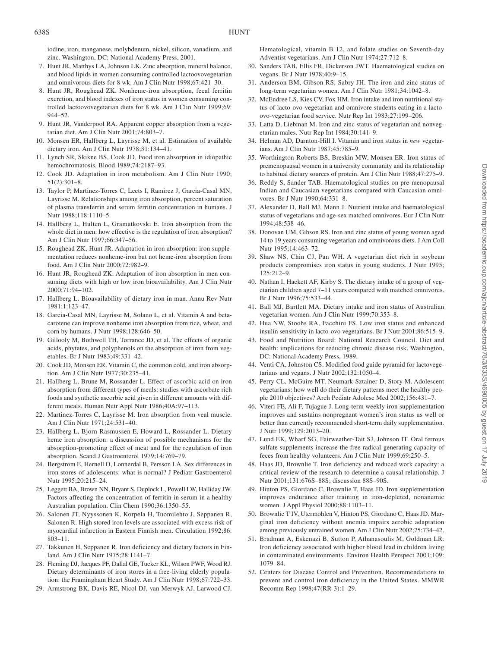iodine, iron, manganese, molybdenum, nickel, silicon, vanadium, and zinc. Washington, DC: National Academy Press, 2001.

- 7. Hunt JR, Matthys LA, Johnson LK. Zinc absorption, mineral balance, and blood lipids in women consuming controlled lactoovovegetarian and omnivorous diets for 8 wk. Am J Clin Nutr 1998;67:421–30.
- 8. Hunt JR, Roughead ZK. Nonheme-iron absorption, fecal ferritin excretion, and blood indexes of iron status in women consuming controlled lactoovovegetarian diets for 8 wk. Am J Clin Nutr 1999;69: 944–52.
- 9. Hunt JR, Vanderpool RA. Apparent copper absorption from a vegetarian diet. Am J Clin Nutr 2001;74:803–7.
- 10. Monsen ER, Hallberg L, Layrisse M, et al. Estimation of available dietary iron. Am J Clin Nutr 1978;31:134–41.
- 11. Lynch SR, Skikne BS, Cook JD. Food iron absorption in idiopathic hemochromatosis. Blood 1989;74:2187–93.
- 12. Cook JD. Adaptation in iron metabolism. Am J Clin Nutr 1990; 51(2):301–8.
- 13. Taylor P, Martinez-Torres C, Leets I, Ramirez J, Garcia-Casal MN, Layrisse M. Relationships among iron absorption, percent saturation of plasma transferrin and serum ferritin concentration in humans. J Nutr 1988;118:1110–5.
- 14. Hallberg L, Hulten L, Gramatkovski E. Iron absorption from the whole diet in men: how effective is the regulation of iron absorption? Am J Clin Nutr 1997;66:347–56.
- 15. Roughead ZK, Hunt JR. Adaptation in iron absorption: iron supplementation reduces nonheme-iron but not heme-iron absorption from food. Am J Clin Nutr 2000;72:982–9.
- 16. Hunt JR, Roughead ZK. Adaptation of iron absorption in men consuming diets with high or low iron bioavailability. Am J Clin Nutr 2000;71:94–102.
- 17. Hallberg L. Bioavailability of dietary iron in man. Annu Rev Nutr 1981;1:123–47.
- 18. Garcia-Casal MN, Layrisse M, Solano L, et al. Vitamin A and betacarotene can improve nonheme iron absorption from rice, wheat, and corn by humans. J Nutr 1998;128:646–50.
- 19. Gillooly M, Bothwell TH, Torrance JD, et al. The effects of organic acids, phytates, and polyphenols on the absorption of iron from vegetables. Br J Nutr 1983;49:331–42.
- 20. Cook JD, Monsen ER. Vitamin C, the common cold, and iron absorption. Am J Clin Nutr 1977;30:235–41.
- 21. Hallberg L, Brune M, Rossander L. Effect of ascorbic acid on iron absorption from different types of meals: studies with ascorbate rich foods and synthetic ascorbic acid given in different amounts with different meals. Human Nutr Appl Nutr 1986;40A:97–113.
- 22. Martinez-Torres C, Layrisse M. Iron absorption from veal muscle. Am J Clin Nutr 1971;24:531–40.
- 23. Hallberg L, Bjorn-Rasmussen E, Howard L, Rossander L. Dietary heme iron absorption: a discussion of possible mechanisms for the absorption-promoting effect of meat and for the regulation of iron absorption. Scand J Gastroenterol 1979;14:769–79.
- 24. Bergstrom E, Hernell O, Lonnerdal B, Persson LA. Sex differences in iron stores of adolescents: what is normal? J Pediatr Gastroenterol Nutr 1995;20:215–24.
- 25. Leggett BA, Brown NN, Bryant S, Duplock L, Powell LW, Halliday JW. Factors affecting the concentration of ferritin in serum in a healthy Australian population. Clin Chem 1990;36:1350–55.
- 26. Salonen JT, Nyyssonen K, Korpela H, Tuomilehto J, Seppanen R, Salonen R. High stored iron levels are associated with excess risk of myocardial infarction in Eastern Finnish men. Circulation 1992;86: 803–11.
- 27. Takkunen H, Seppanen R. Iron deficiency and dietary factors in Finland. Am J Clin Nutr 1975;28:1141–7.
- 28. Fleming DJ, Jacques PF, Dallal GE, Tucker KL, Wilson PWF, Wood RJ. Dietary determinants of iron stores in a free-living elderly population: the Framingham Heart Study. Am J Clin Nutr 1998;67:722–33.
- 29. Armstrong BK, Davis RE, Nicol DJ, van Merwyk AJ, Larwood CJ.

Hematological, vitamin B 12, and folate studies on Seventh-day Adventist vegetarians. Am J Clin Nutr 1974;27:712–8.

- 30. Sanders TAB, Ellis FR, Dickerson JWT. Haematological studies on vegans. Br J Nutr 1978;40:9–15.
- 31. Anderson BM, Gibson RS, Sabry JH. The iron and zinc status of long-term vegetarian women. Am J Clin Nutr 1981;34:1042–8.
- 32. McEndree LS, Kies CV, Fox HM. Iron intake and iron nutritional status of lacto-ovo-vegetarian and omnivore students eating in a lactoovo-vegetarian food service. Nutr Rep Int 1983;27:199–206.
- 33. Latta D, Liebman M. Iron and zinc status of vegetarian and nonvegetarian males. Nutr Rep Int 1984;30:141–9.
- 34. Helman AD, Darnton-Hill I. Vitamin and iron status in *new* vegetarians. Am J Clin Nutr 1987;45:785–9.
- 35. Worthington-Roberts BS, Breskin MW, Monsen ER. Iron status of premenopausal women in a university community and its relationship to habitual dietary sources of protein. Am J Clin Nutr 1988;47:275–9.
- 36. Reddy S, Sander TAB. Haematological studies on pre-menopausal Indian and Caucasian vegetarians compared with Caucasian omnivores. Br J Nutr 1990;64:331–8.
- 37. Alexander D, Ball MJ, Mann J. Nutrient intake and haematological status of vegetarians and age-sex matched omnivores. Eur J Clin Nutr 1994;48:538–46.
- 38. Donovan UM, Gibson RS. Iron and zinc status of young women aged 14 to 19 years consuming vegetarian and omnivorous diets. J Am Coll Nutr 1995;14:463–72.
- 39. Shaw NS, Chin CJ, Pan WH. A vegetarian diet rich in soybean products compromises iron status in young students. J Nutr 1995; 125:212–9.
- 40. Nathan I, Hackett AF, Kirby S. The dietary intake of a group of vegetarian children aged 7–11 years compared with matched omnivores. Br J Nutr 1996;75:533–44.
- 41. Ball MJ, Bartlett MA. Dietary intake and iron status of Australian vegetarian women. Am J Clin Nutr 1999;70:353–8.
- 42. Hua NW, Stoohs RA, Facchini FS. Low iron status and enhanced insulin sensitivity in lacto-ovo vegetarians. Br J Nutr 2001;86:515–9.
- 43. Food and Nutrition Board: National Research Council. Diet and health: implications for reducing chronic disease risk. Washington, DC: National Academy Press, 1989.
- 44. Venti CA, Johnston CS. Modified food guide pyramid for lactovegetarians and vegans. J Nutr 2002;132:1050–4.
- 45. Perry CL, McGuire MT, Neumark-Sztainer D, Story M. Adolescent vegetarians: how well do their dietary patterns meet the healthy people 2010 objectives? Arch Pediatr Adolesc Med 2002;156:431–7.
- 46. Viteri FE, Ali F, Tujague J. Long-term weekly iron supplementation improves and sustains nonpregnant women's iron status as well or better than currently recommended short-term daily supplementation. J Nutr 1999;129:2013–20.
- 47. Lund EK, Wharf SG, Fairweather-Tait SJ, Johnson IT. Oral ferrous sulfate supplements increase the free radical-generating capacity of feces from healthy volunteers. Am J Clin Nutr 1999;69:250–5.
- 48. Haas JD, Brownlie T. Iron deficiency and reduced work capacity: a critical review of the research to determine a causal relationship. J Nutr 2001;131:676S–88S; discussion 88S–90S.
- 49. Hinton PS, Giordano C, Brownlie T, Haas JD. Iron supplementation improves endurance after training in iron-depleted, nonanemic women. J Appl Physiol 2000;88:1103–11.
- 50. Brownlie T IV, Utermohlen V, Hinton PS, Giordano C, Haas JD. Marginal iron deficiency without anemia impairs aerobic adaptation among previously untrained women. Am J Clin Nutr 2002;75:734–42.
- 51. Bradman A, Eskenazi B, Sutton P, Athanasoulis M, Goldman LR. Iron deficiency associated with higher blood lead in children living in contaminated environments. Environ Health Perspect 2001;109: 1079–84.
- 52. Centers for Disease Control and Prevention. Recommendations to prevent and control iron deficiency in the United States. MMWR Recomm Rep 1998;47(RR-3):1–29.